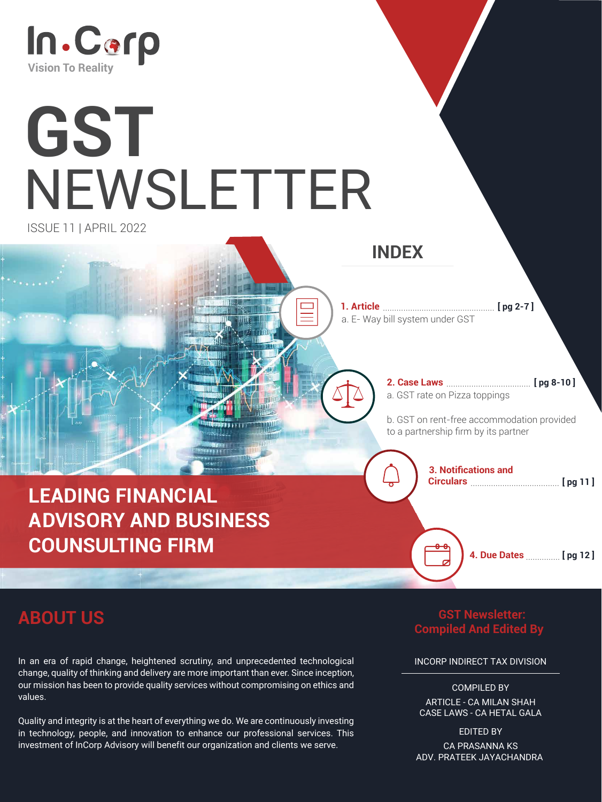

# **GST** NEWSLETTER

ISSUE 11 | APRIL 2022

**ABOUT US**

### **INDEX**

### **LEADING FINANCIAL ADVISORY AND BUSINESS COUNSULTING FIRM**

....................................... **Circulars**

**3. Notifications and**

**1. Article** ................................................. a. E- Way bill system under GST **[ pg 2-7 ]**

a. GST rate on Pizza toppings

**4. Due Dates** ............... **[ pg 12 ]**

b. GST on rent-free accommodation provided to a partnership firm by its partner

#### **2. Case Laws** ..................................... **[ pg 8-10 ]**

**[ pg 11 ]**

 **GST Newsletter: Compiled And Edited By** 

INCORP INDIRECT TAX DIVISION

COMPILED BY ARTICLE - CA MILAN SHAH CASE LAWS - CA HETAL GALA

EDITED BY CA PRASANNA KS ADV. PRATEEK JAYACHANDRA

In an era of rapid change, heightened scrutiny, and unprecedented technological change, quality of thinking and delivery are more important than ever. Since inception, our mission has been to provide quality services without compromising on ethics and values.

Quality and integrity is at the heart of everything we do. We are continuously investing in technology, people, and innovation to enhance our professional services. This investment of InCorp Advisory will benefit our organization and clients we serve.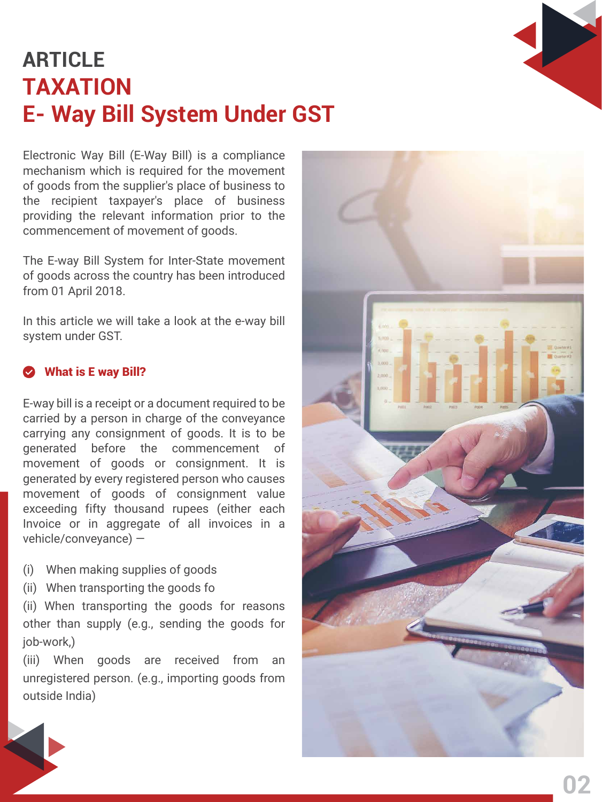## **TAXATION E- Way Bill System Under GST ARTICLE**



Electronic Way Bill (E-Way Bill) is a compliance mechanism which is required for the movement of goods from the supplier's place of business to the recipient taxpayer's place of business providing the relevant information prior to the commencement of movement of goods.

The E-way Bill System for Inter-State movement of goods across the country has been introduced from 01 April 2018.

In this article we will take a look at the e-way bill system under GST.

E-way bill is a receipt or a document required to be carried by a person in charge of the conveyance carrying any consignment of goods. It is to be generated before the commencement of movement of goods or consignment. It is generated by every registered person who causes movement of goods of consignment value exceeding fifty thousand rupees (either each Invoice or in aggregate of all invoices in a vehicle/conveyance) —



#### What is E way Bill?

- (i) When making supplies of goods
- (ii) When transporting the goods fo

(ii) When transporting the goods for reasons other than supply (e.g., sending the goods for job-work,)

(iii) When goods are received from an unregistered person. (e.g., importing goods from outside India)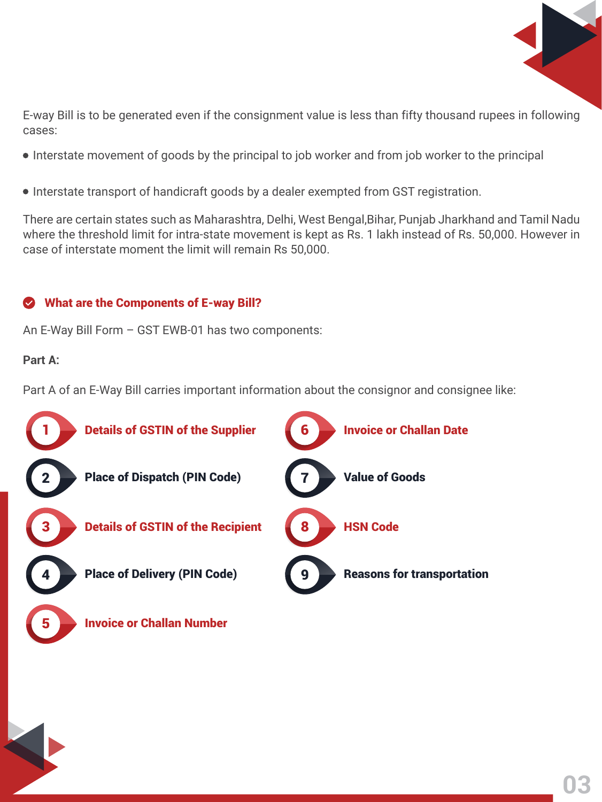



E-way Bill is to be generated even if the consignment value is less than fifty thousand rupees in following cases:

- $\bullet$  Interstate movement of goods by the principal to job worker and from job worker to the principal
- $\bullet$  Interstate transport of handicraft goods by a dealer exempted from GST registration.

There are certain states such as Maharashtra, Delhi, West Bengal,Bihar, Punjab Jharkhand and Tamil Nadu where the threshold limit for intra-state movement is kept as Rs. 1 lakh instead of Rs. 50,000. However in case of interstate moment the limit will remain Rs 50,000.

#### What are the Components of E-way Bill?  $\bullet$

An E-Way Bill Form – GST EWB-01 has two components:

**Part A:**

Part A of an E-Way Bill carries important information about the consignor and consignee like:





Details of GSTIN of the Supplier

Place of Dispatch (PIN Code)





Value of Goods

3



Details of GSTIN of the Recipient

Place of Delivery (PIN Code)

8

HSN Code





**Invoice or Challan Number**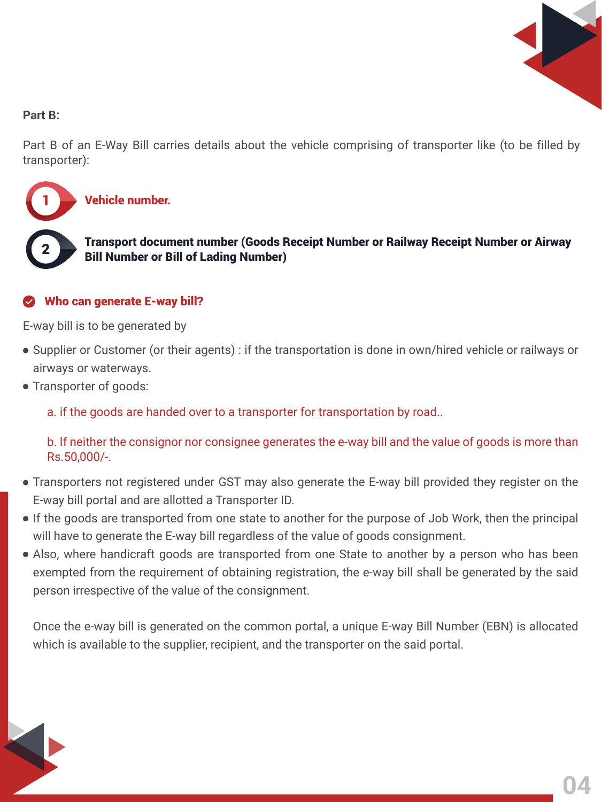#### Who can generate E-way bill?



#### **Part B:**

Part B of an E-Way Bill carries details about the vehicle comprising of transporter like (to be filled by transporter):

E-way bill is to be generated by

a. if the goods are handed over to a transporter for transportation by road..

- Supplier or Customer (or their agents) : if the transportation is done in own/hired vehicle or railways or airways or waterways.
- Transporter of goods:

b. If neither the consignor nor consignee generates the e-way bill and the value of goods is more than

#### Rs.50,000/-.

1





Transport document number (Goods Receipt Number or Railway Receipt Number or Airway Bill Number or Bill of Lading Number)

- Transporters not registered under GST may also generate the E-way bill provided they register on the E-way bill portal and are allotted a Transporter ID.
- If the goods are transported from one state to another for the purpose of Job Work, then the principal will have to generate the E-way bill regardless of the value of goods consignment.
- Also, where handicraft goods are transported from one State to another by a person who has been exempted from the requirement of obtaining registration, the e-way bill shall be generated by the said person irrespective of the value of the consignment.

Once the e-way bill is generated on the common portal, a unique E-way Bill Number (EBN) is allocated which is available to the supplier, recipient, and the transporter on the said portal.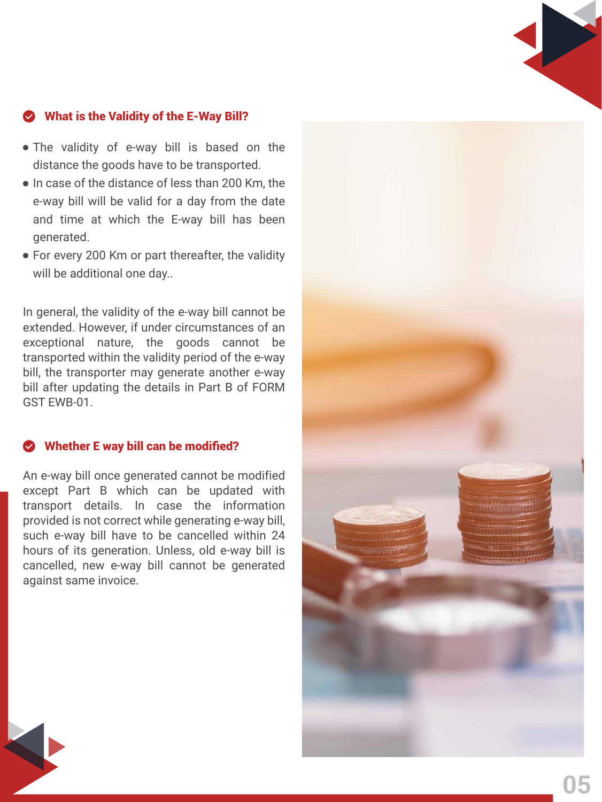#### What is the Validity of the E-Way Bill?

- The validity of e-way bill is based on the distance the goods have to be transported.
- In case of the distance of less than 200 Km, the e-way bill will be valid for a day from the date and time at which the E-way bill has been generated.
- For every 200 Km or part thereafter, the validity will be additional one day..



An e-way bill once generated cannot be modified except Part B which can be updated with transport details. In case the information provided is not correct while generating e-way bill, such e-way bill have to be cancelled within 24 hours of its generation. Unless, old e-way bill is cancelled, new e-way bill cannot be generated against same invoice.

In general, the validity of the e-way bill cannot be extended. However, if under circumstances of an exceptional nature, the goods cannot be transported within the validity period of the e-way bill, the transporter may generate another e-way bill after updating the details in Part B of FORM GST EWB-01.



#### Whether E way bill can be modified?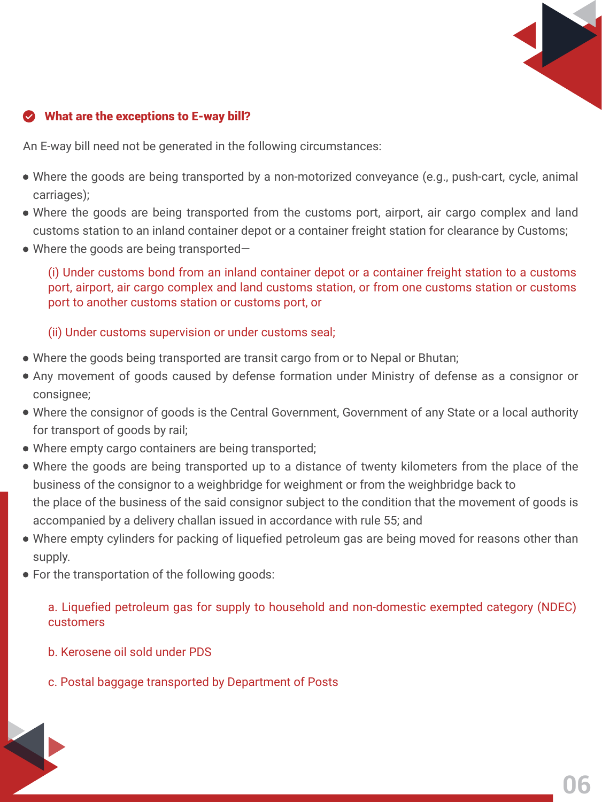An E-way bill need not be generated in the following circumstances:

(i) Under customs bond from an inland container depot or a container freight station to a customs port, airport, air cargo complex and land customs station, or from one customs station or customs port to another customs station or customs port, or

- Where the goods are being transported by a non-motorized conveyance (e.g., push-cart, cycle, animal carriages);
- Where the goods are being transported from the customs port, airport, air cargo complex and land customs station to an inland container depot or a container freight station for clearance by Customs;
- Where the goods are being transported–

(ii) Under customs supervision or under customs seal;

a. Liquefied petroleum gas for supply to household and non-domestic exempted category (NDEC) customers

- b. Kerosene oil sold under PDS
- c. Postal baggage transported by Department of Posts



### What are the exceptions to E-way bill?

- Where the goods being transported are transit cargo from or to Nepal or Bhutan;
- Any movement of goods caused by defense formation under Ministry of defense as a consignor or consignee;
- Where the consignor of goods is the Central Government, Government of any State or a local authority for transport of goods by rail;
- Where empty cargo containers are being transported;
- Where the goods are being transported up to a distance of twenty kilometers from the place of the business of the consignor to a weighbridge for weighment or from the weighbridge back to the place of the business of the said consignor subject to the condition that the movement of goods is accompanied by a delivery challan issued in accordance with rule 55; and
- Where empty cylinders for packing of liquefied petroleum gas are being moved for reasons other than supply.
- For the transportation of the following goods: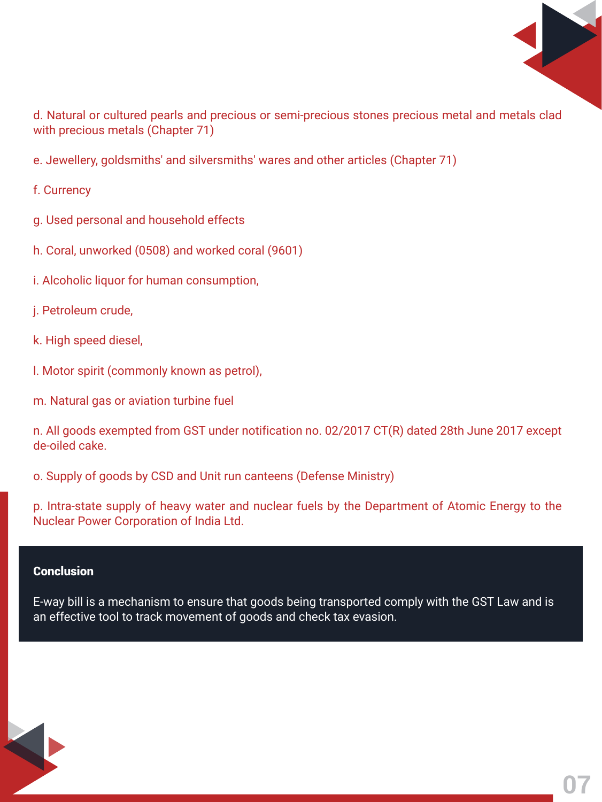

**07**

E-way bill is a mechanism to ensure that goods being transported comply with the GST Law and is an effective tool to track movement of goods and check tax evasion.

d. Natural or cultured pearls and precious or semi-precious stones precious metal and metals clad with precious metals (Chapter 71)

e. Jewellery, goldsmiths' and silversmiths' wares and other articles (Chapter 71)

f. Currency

- g. Used personal and household effects
- h. Coral, unworked (0508) and worked coral (9601)
- i. Alcoholic liquor for human consumption,
- j. Petroleum crude,
- k. High speed diesel,
- l. Motor spirit (commonly known as petrol),
- m. Natural gas or aviation turbine fuel

n. All goods exempted from GST under notification no. 02/2017 CT(R) dated 28th June 2017 except de-oiled cake.

o. Supply of goods by CSD and Unit run canteens (Defense Ministry)

p. Intra-state supply of heavy water and nuclear fuels by the Department of Atomic Energy to the Nuclear Power Corporation of India Ltd.

#### **Conclusion**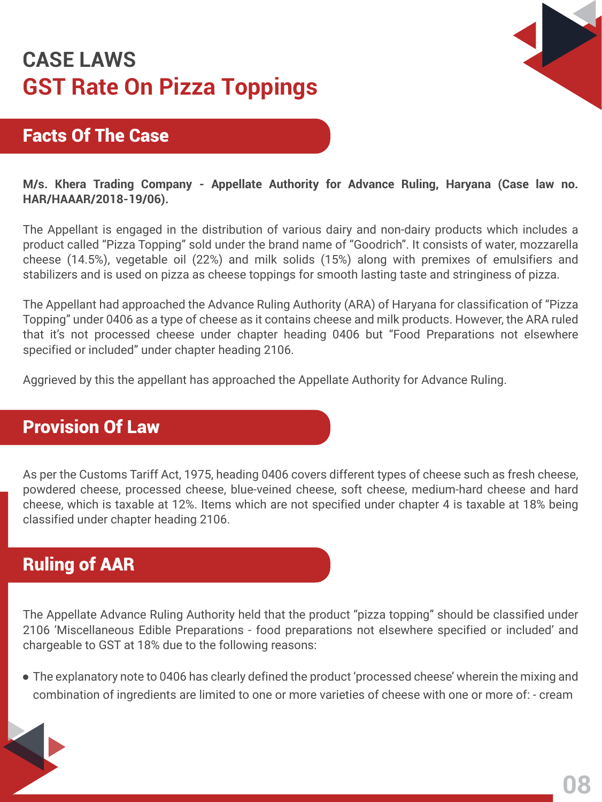### **GST Rate On Pizza Toppings CASE LAWS**

**M/s. Khera Trading Company - Appellate Authority for Advance Ruling, Haryana (Case law no. HAR/HAAAR/2018-19/06).**

The Appellant is engaged in the distribution of various dairy and non-dairy products which includes a product called "Pizza Topping" sold under the brand name of "Goodrich". It consists of water, mozzarella cheese (14.5%), vegetable oil (22%) and milk solids (15%) along with premixes of emulsifiers and stabilizers and is used on pizza as cheese toppings for smooth lasting taste and stringiness of pizza.

The Appellant had approached the Advance Ruling Authority (ARA) of Haryana for classification of "Pizza Topping" under 0406 as a type of cheese as it contains cheese and milk products. However, the ARA ruled that it's not processed cheese under chapter heading 0406 but "Food Preparations not elsewhere specified or included" under chapter heading 2106.

Aggrieved by this the appellant has approached the Appellate Authority for Advance Ruling.

Facts Of The Case



As per the Customs Tariff Act, 1975, heading 0406 covers different types of cheese such as fresh cheese, powdered cheese, processed cheese, blue-veined cheese, soft cheese, medium-hard cheese and hard cheese, which is taxable at 12%. Items which are not specified under chapter 4 is taxable at 18% being classified under chapter heading 2106.

### Provision Of Law

### Ruling of AAR

The Appellate Advance Ruling Authority held that the product "pizza topping" should be classified under 2106 'Miscellaneous Edible Preparations - food preparations not elsewhere specified or included' and chargeable to GST at 18% due to the following reasons:

The explanatory note to 0406 has clearly defined the product 'processed cheese' wherein the mixing and combination of ingredients are limited to one or more varieties of cheese with one or more of: - cream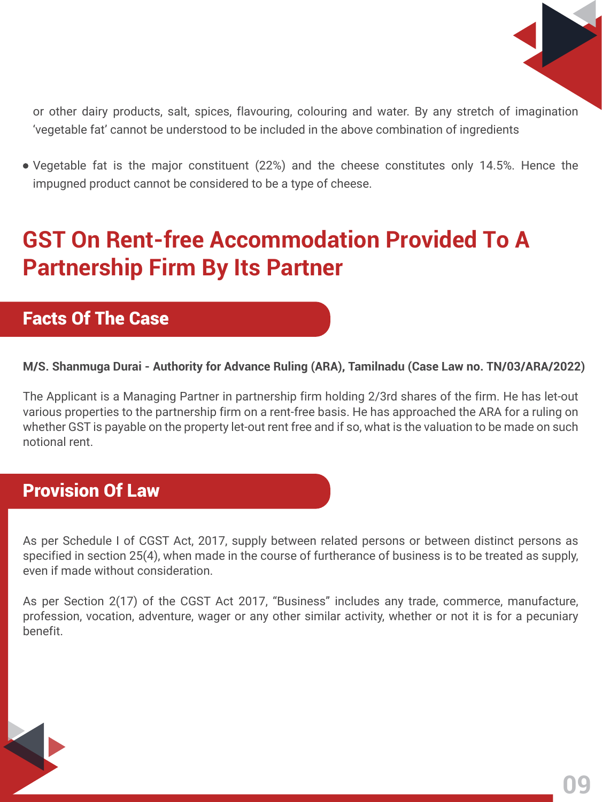## **GST On Rent-free Accommodation Provided To A Partnership Firm By Its Partner**

**M/S. Shanmuga Durai - Authority for Advance Ruling (ARA), Tamilnadu (Case Law no. TN/03/ARA/2022)**

The Applicant is a Managing Partner in partnership firm holding 2/3rd shares of the firm. He has let-out various properties to the partnership firm on a rent-free basis. He has approached the ARA for a ruling on whether GST is payable on the property let-out rent free and if so, what is the valuation to be made on such notional rent.

As per Schedule I of CGST Act, 2017, supply between related persons or between distinct persons as specified in section 25(4), when made in the course of furtherance of business is to be treated as supply, even if made without consideration.

As per Section 2(17) of the CGST Act 2017, "Business" includes any trade, commerce, manufacture, profession, vocation, adventure, wager or any other similar activity, whether or not it is for a pecuniary benefit.





or other dairy products, salt, spices, flavouring, colouring and water. By any stretch of imagination 'vegetable fat' cannot be understood to be included in the above combination of ingredients

Vegetable fat is the major constituent (22%) and the cheese constitutes only 14.5%. Hence the impugned product cannot be considered to be a type of cheese.

### Facts Of The Case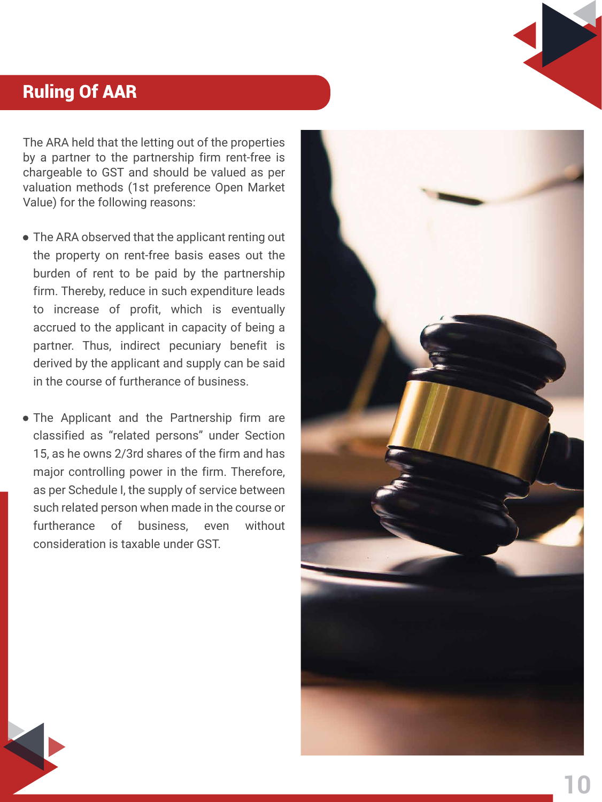The ARA held that the letting out of the properties by a partner to the partnership firm rent-free is chargeable to GST and should be valued as per valuation methods (1st preference Open Market Value) for the following reasons:

### Ruling Of AAR

- The ARA observed that the applicant renting out the property on rent-free basis eases out the burden of rent to be paid by the partnership firm. Thereby, reduce in such expenditure leads to increase of profit, which is eventually accrued to the applicant in capacity of being a partner. Thus, indirect pecuniary benefit is derived by the applicant and supply can be said in the course of furtherance of business.
- The Applicant and the Partnership firm are classified as "related persons" under Section



15, as he owns 2/3rd shares of the firm and has major controlling power in the firm. Therefore, as per Schedule I, the supply of service between such related person when made in the course or furtherance of business, even without consideration is taxable under GST.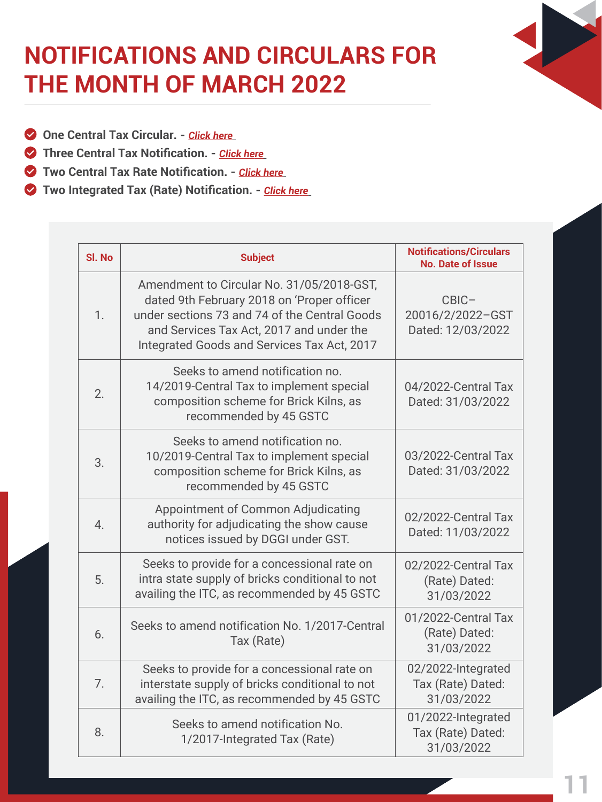## **NOTIFICATIONS AND CIRCULARS FOR THE MONTH OF MARCH 2022**

- **One Central Tax Circular.** *[Click here](https://www.cbic.gov.in/htdocs-cbec/gst/circularcgst)*
- **State Central Tax Notification.** *[Click here](https://taxinformation.cbic.gov.in/content-page/explore-notification)*
- **Two Central Tax Rate Notification.** *[Click here](https://taxinformation.cbic.gov.in/content-page/explore-notification)*
- **Two Integrated Tax (Rate) Notification. [Click here](https://taxinformation.cbic.gov.in/content-page/explore-notification)**

**11**

| SI. No | <b>Subject</b>                                                                                                                                                                                                                      | <b>Notifications/Circulars</b><br><b>No. Date of Issue</b> |  |  |
|--------|-------------------------------------------------------------------------------------------------------------------------------------------------------------------------------------------------------------------------------------|------------------------------------------------------------|--|--|
| 1.     | Amendment to Circular No. 31/05/2018-GST,<br>dated 9th February 2018 on 'Proper officer<br>under sections 73 and 74 of the Central Goods<br>and Services Tax Act, 2017 and under the<br>Integrated Goods and Services Tax Act, 2017 | CBIC-<br>20016/2/2022-GST<br>Dated: 12/03/2022             |  |  |
| 2.     | Seeks to amend notification no.<br>14/2019-Central Tax to implement special<br>composition scheme for Brick Kilns, as<br>recommended by 45 GSTC                                                                                     | 04/2022-Central Tax<br>Dated: 31/03/2022                   |  |  |
|        | Seeks to amend notification no.<br>10/2019-Central Tax to implement special<br>composition scheme for Brick Kilns, as<br>recommended by 45 GSTC                                                                                     | 03/2022-Central Tax<br>Dated: 31/03/2022                   |  |  |
| 4.     | Appointment of Common Adjudicating<br>authority for adjudicating the show cause<br>notices issued by DGGI under GST.                                                                                                                | 02/2022-Central Tax<br>Dated: 11/03/2022                   |  |  |
| 5.     | Seeks to provide for a concessional rate on<br>intra state supply of bricks conditional to not<br>availing the ITC, as recommended by 45 GSTC                                                                                       | 02/2022-Central Tax<br>(Rate) Dated:<br>31/03/2022         |  |  |
| 6.     | Seeks to amend notification No. 1/2017-Central<br>Tax (Rate)                                                                                                                                                                        | 01/2022-Central Tax<br>(Rate) Dated:<br>31/03/2022         |  |  |
| 7.     | Seeks to provide for a concessional rate on<br>interstate supply of bricks conditional to not<br>availing the ITC, as recommended by 45 GSTC                                                                                        | 02/2022-Integrated<br>Tax (Rate) Dated:<br>31/03/2022      |  |  |
| 8.     | Seeks to amend notification No.<br>1/2017-Integrated Tax (Rate)                                                                                                                                                                     | 01/2022-Integrated<br>Tax (Rate) Dated:<br>31/03/2022      |  |  |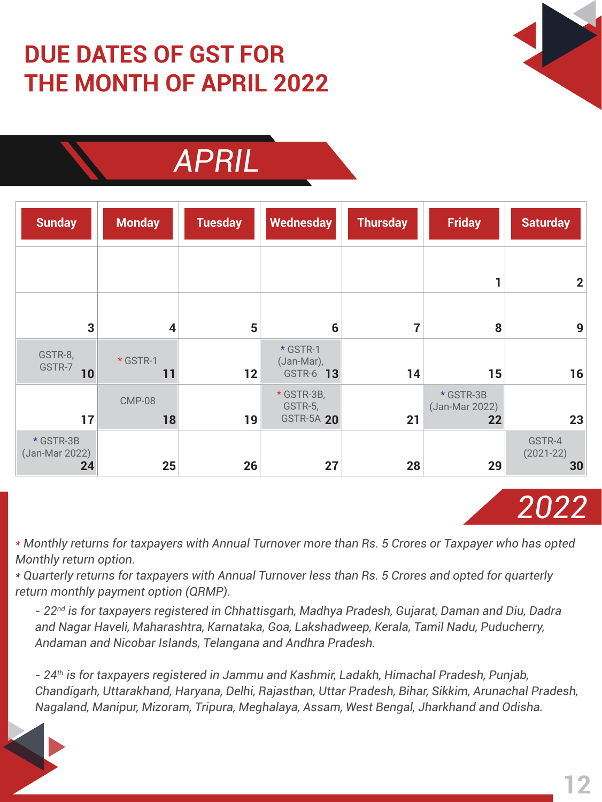# **DUE DATES OF GST FOR THE MONTH OF APRIL 2022**





| <b>Sunday</b>           | <b>Monday</b>           | <b>Tuesday</b> | Wednesday                                  | <b>Thursday</b> | <b>Friday</b>                     | <b>Saturday</b>          |
|-------------------------|-------------------------|----------------|--------------------------------------------|-----------------|-----------------------------------|--------------------------|
|                         |                         |                |                                            |                 |                                   | $\mathbf 2$              |
| 3 <sup>1</sup>          | $\overline{\mathbf{4}}$ | 5              | 6                                          | 7               | 8                                 | 9                        |
| GSTR-8,<br>GSTR-7<br>10 | * GSTR-1<br>11          | 12             | * GSTR-1<br>(Jan-Mar),<br>GSTR-6 13        | 14              | 15                                | 16                       |
| 17                      | <b>CMP-08</b><br>18     | 19             | * GSTR-3B,<br>GSTR-5,<br><b>GSTR-5A 20</b> | 21              | * GSTR-3B<br>(Jan-Mar 2022)<br>22 | 23                       |
| * GSTR-3B               |                         |                |                                            |                 |                                   | GSTR-4<br>$\lambda = -1$ |

*\* Monthly returns for taxpayers with Annual Turnover more than Rs. 5 Crores or Taxpayer who has opted Monthly return option.*

*\* Quarterly returns for taxpayers with Annual Turnover less than Rs. 5 Crores and opted for quarterly return monthly payment option (QRMP).* 

*- 22nd is for taxpayers registered in Chhattisgarh, Madhya Pradesh, Gujarat, Daman and Diu, Dadra and Nagar Haveli, Maharashtra, Karnataka, Goa, Lakshadweep, Kerala, Tamil Nadu, Puducherry, Andaman and Nicobar Islands, Telangana and Andhra Pradesh.*

*- 24th is for taxpayers registered in Jammu and Kashmir, Ladakh, Himachal Pradesh, Punjab, Chandigarh, Uttarakhand, Haryana, Delhi, Rajasthan, Uttar Pradesh, Bihar, Sikkim, Arunachal Pradesh, Nagaland, Manipur, Mizoram, Tripura, Meghalaya, Assam, West Bengal, Jharkhand and Odisha.*